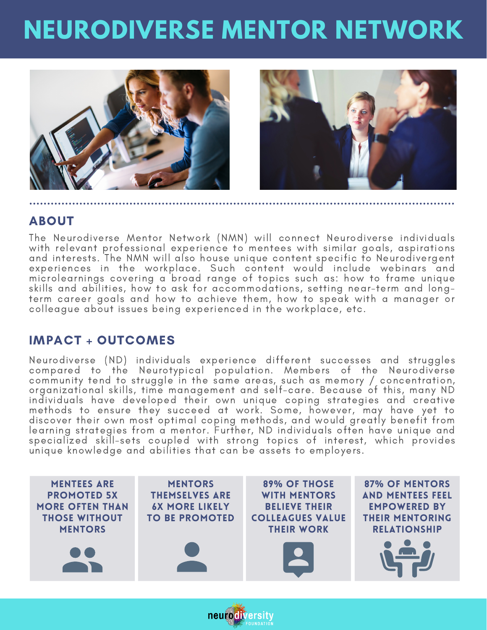# **NEURODIVERSE MENTOR NETWORK**



### ABOUT

The Neurodiverse Mentor Network (NMN) will connect Neurodiverse individuals with relevant professional experience to mentees with similar goals, aspirations and interests. The NMN will also house unique content specific to Neurodivergent experiences in the workplace. Such content would include webinars and microlearnings covering a broad range of topics such as: how to frame unique skills and abilities, how to ask for accommodations, setting near-term and longterm career goals and how to achieve them, how to speak with a manager or colleague about issues being experienced in the workplace, etc.

### IMPACT + OUTCOMES

Neurodiverse (ND) individuals experience different successes and struggles compared to the Neurotypical population. Members of the Neurodiverse community tend to struggle in the same areas, such as memory / concentration, organizational skills, time management and self-care. Because of this, many ND individuals have developed their own unique coping strategies and creative methods to ensure they succeed at work. Some, however, may have yet to discover their own most optimal coping methods, and would greatly benefit from learning strategies from a mentor. Further, ND individuals often have unique and specialized skill-sets coupled with strong topics of interest, which provides unique knowledge and abilities that can be assets to employers.



neurodiversity